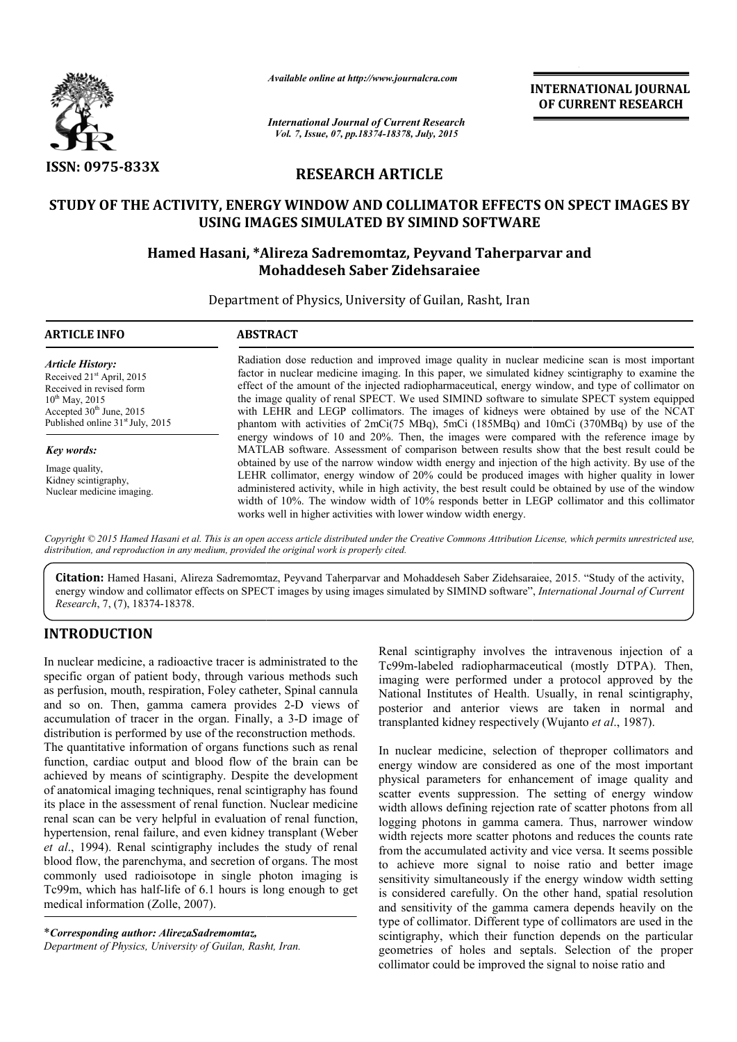

*Available online at http://www.journalcra.com*

*International Journal of Current Research Vol. 7, Issue, 07, pp.18374-18378, July, 2015*

**INTERNATIONAL INTERNATIONAL JOURNAL OF CURRENT RESEARCH** 

# **RESEARCH ARTICLE**

## **STUDY OF THE ACTIVITY, ENERGY WINDOW AND COLLIMATOR EFFECTS ON SPECT IMAGES BY USING IMAGES SIMULATED BY SIMIND SOFTWARE**

# USING IMAGES SIMULATED BY SIMIND SOFTWARE<br>Hamed Hasani, \*Alireza Sadremomtaz, Peyvand Taherparvar and **Mohaddeseh Saber Zidehsaraiee**

Department of Physics, University of Guilan, Rasht, Iran

| <b>ARTICLE INFO</b>                                                                                                                                                                               | <b>ABSTRACT</b>                                                                                                                                                                                                                                                                                                                                                                                                                                                                                                                                                                                                                                                                                   |  |  |  |  |
|---------------------------------------------------------------------------------------------------------------------------------------------------------------------------------------------------|---------------------------------------------------------------------------------------------------------------------------------------------------------------------------------------------------------------------------------------------------------------------------------------------------------------------------------------------------------------------------------------------------------------------------------------------------------------------------------------------------------------------------------------------------------------------------------------------------------------------------------------------------------------------------------------------------|--|--|--|--|
| <b>Article History:</b><br>Received 21 <sup>st</sup> April, 2015<br>Received in revised form<br>$10^{th}$ May, 2015<br>Accepted $30th$ June, 2015<br>Published online 31 <sup>st</sup> July, 2015 | Radiation dose reduction and improved image quality in nuclear medicine scan is most important<br>factor in nuclear medicine imaging. In this paper, we simulated kidney scintigraphy to examine the<br>effect of the amount of the injected radiopharmaceutical, energy window, and type of collimator on<br>the image quality of renal SPECT. We used SIMIND software to simulate SPECT system equipped<br>with LEHR and LEGP collimators. The images of kidneys were obtained by use of the NCAT<br>phantom with activities of $2mCi(75 MBq)$ , $5mCi(185 MBq)$ and $10mCi(370 MBq)$ by use of the<br>energy windows of 10 and 20%. Then, the images were compared with the reference image by |  |  |  |  |
| Key words:                                                                                                                                                                                        | MATLAB software. Assessment of comparison between results show that the best result could be                                                                                                                                                                                                                                                                                                                                                                                                                                                                                                                                                                                                      |  |  |  |  |
| Image quality,<br>Kidney scintigraphy,<br>Nuclear medicine imaging.                                                                                                                               | obtained by use of the narrow window width energy and injection of the high activity. By use of the<br>LEHR collimator, energy window of 20% could be produced images with higher quality in lower<br>administered activity, while in high activity, the best result could be obtained by use of the window<br>width of 10%. The window width of 10% responds better in LEGP collimator and this collimator<br>works well in higher activities with lower window width energy.                                                                                                                                                                                                                    |  |  |  |  |

Copyright © 2015 Hamed Hasani et al. This is an open access article distributed under the Creative Commons Attribution License, which permits unrestricted use, *distribution, and reproduction in any medium, provided the original work is properly cited.*

**Citation:** Hamed Hasani, Alireza Sadremomtaz, Peyvand Taherparvar and Mohaddeseh Saber Zidehsaraiee Zidehsaraiee, 2015. "Study of the activity, energy window and collimator effects on SPECT images by using images simulated by SIMIND software", *International Journal of Current Research*, 7, (7), 18374-18378.

## **INTRODUCTION**

In nuclear medicine, a radioactive tracer is administrated to the specific organ of patient body, through various methods such as perfusion, mouth, respiration, Foley catheter, Spinal cannula and so on. Then, gamma camera provides 2 2-D views of accumulation of tracer in the organ. Finally, a 3 3-D image of distribution is performed by use of the reconstruction methods. The quantitative information of organs functions such as renal function, cardiac output and blood flow of the brain can be achieved by means of scintigraphy. Despite the development of anatomical imaging techniques, renal scintigraphy has found its place in the assessment of renal function. Nuclear medicine renal scan can be very helpful in evaluation of renal function, hypertension, renal failure, and even kidney transplant (Weber *et al*., 1994). Renal scintigraphy includes the study of renal blood flow, the parenchyma, and secretion of organs. The most commonly used radioisotope in single photon imaging is Tc99m, which has half-life of 6.1 hours is long enough to get medical information (Zolle, 2007).

\**Corresponding author: AlirezaSadremomtaz, Department of Physics, University of Guilan, Rasht, Iran Iran.* Renal scintigraphy involves the intravenous injection of a Tc99m-labeled radiopharmaceutical (mostly DTPA). Then, imaging were performed under a protocol approved by the National Institutes of Health. Usually, in renal scintigraphy, posterior and anterior views are taken in normal and transplanted kidney respectively (Wujanto *et al.*, 1987). transplanted kidney respectively (Wujanto et al., 1987). incomity involves the intravenous injection of a labeled radiopharmaceutical (mostly DTPA). Then, were performed under a protocol approved by the 1 Institutes of Health. Usually, in renal scintigraphy,

In nuclear medicine, selection of theproper collimators and energy window are considered as one of the most important physical parameters for enhancement of image quality and scatter events suppression. The setting of energy window width allows defining rejection rate of scatter photons from all logging photons in gamma camera. Thus, narrower window width rejects more scatter photons and reduces the counts rate from the accumulated activity and vice versa. It seems possible to achieve more signal to noise ratio and better image sensitivity simultaneously if the energy window width setting is considered carefully. On the other hand, spatial resolution and sensitivity of the gamma camera depends heavily on the type of collimator. Different type of collimators are used in the type of collimator. Different type of collimators are used in the scintigraphy, which their function depends on the particular geometries of holes and septals. Selection of the proper collimator could be improved the signal to noise ratio and In nuclear medicine, selection of the<br>proper collimators and energy window are considered as one of the most important<br>physical parameters for enhancement of image quality and<br>scatter events suppression. The setting of ene width rejects more scatter photons and reduces the counts rate<br>from the accumulated activity and vice versa. It seems possible<br>to achieve more signal to noise ratio and better image<br>sensitivity simultaneously if the energy INTERNATIONAL JOURNAL<br>
CONVERT EXECUTE CONTINUES OF CURRENT RESEARCH<br>
CONVERT EXECUTE OF CONTINUES AND 2015<br> **ARTICLE**<br> **ARTICLE**<br> **ARTICLE**<br> **COLLIMATOR EFFECTS ON SPECT IMAGES BY**<br> **DY SIMIND SOFTWARE**<br> **THEST POYMARE**<br>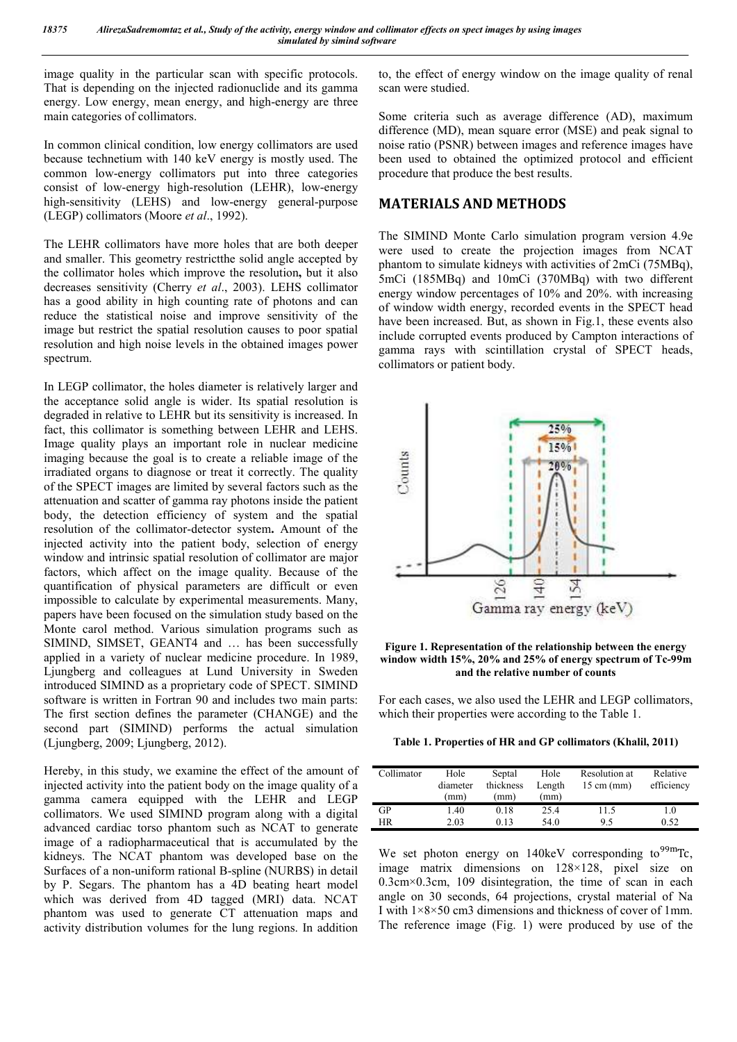image quality in the particular scan with specific protocols. That is depending on the injected radionuclide and its gamma energy. Low energy, mean energy, and high-energy are three main categories of collimators.

In common clinical condition, low energy collimators are used because technetium with 140 keV energy is mostly used. The common low-energy collimators put into three categories consist of low-energy high-resolution (LEHR), low-energy high-sensitivity (LEHS) and low-energy general-purpose (LEGP) collimators (Moore *et al*., 1992).

The LEHR collimators have more holes that are both deeper and smaller. This geometry restrictthe solid angle accepted by the collimator holes which improve the resolution**,** but it also decreases sensitivity (Cherry *et al*., 2003). LEHS collimator has a good ability in high counting rate of photons and can reduce the statistical noise and improve sensitivity of the image but restrict the spatial resolution causes to poor spatial resolution and high noise levels in the obtained images power spectrum.

In LEGP collimator, the holes diameter is relatively larger and the acceptance solid angle is wider. Its spatial resolution is degraded in relative to LEHR but its sensitivity is increased. In fact, this collimator is something between LEHR and LEHS. Image quality plays an important role in nuclear medicine imaging because the goal is to create a reliable image of the irradiated organs to diagnose or treat it correctly. The quality of the SPECT images are limited by several factors such as the attenuation and scatter of gamma ray photons inside the patient body, the detection efficiency of system and the spatial resolution of the collimator-detector system**.** Amount of the injected activity into the patient body, selection of energy window and intrinsic spatial resolution of collimator are major factors, which affect on the image quality. Because of the quantification of physical parameters are difficult or even impossible to calculate by experimental measurements. Many, papers have been focused on the simulation study based on the Monte carol method. Various simulation programs such as SIMIND, SIMSET, GEANT4 and … has been successfully applied in a variety of nuclear medicine procedure. In 1989, Ljungberg and colleagues at Lund University in Sweden introduced SIMIND as a proprietary code of SPECT. SIMIND software is written in Fortran 90 and includes two main parts: The first section defines the parameter (CHANGE) and the second part (SIMIND) performs the actual simulation (Ljungberg, 2009; Ljungberg, 2012).

Hereby, in this study, we examine the effect of the amount of injected activity into the patient body on the image quality of a gamma camera equipped with the LEHR and LEGP collimators. We used SIMIND program along with a digital advanced cardiac torso phantom such as NCAT to generate image of a radiopharmaceutical that is accumulated by the kidneys. The NCAT phantom was developed base on the Surfaces of a non-uniform rational B-spline (NURBS) in detail by P. Segars. The phantom has a 4D beating heart model which was derived from 4D tagged (MRI) data. NCAT phantom was used to generate CT attenuation maps and activity distribution volumes for the lung regions. In addition to, the effect of energy window on the image quality of renal scan were studied.

Some criteria such as average difference (AD), maximum difference (MD), mean square error (MSE) and peak signal to noise ratio (PSNR) between images and reference images have been used to obtained the optimized protocol and efficient procedure that produce the best results.

#### **MATERIALS AND METHODS**

The SIMIND Monte Carlo simulation program version 4.9e were used to create the projection images from NCAT phantom to simulate kidneys with activities of 2mCi (75MBq), 5mCi (185MBq) and 10mCi (370MBq) with two different energy window percentages of 10% and 20%. with increasing of window width energy, recorded events in the SPECT head have been increased. But, as shown in Fig.1, these events also include corrupted events produced by Campton interactions of gamma rays with scintillation crystal of SPECT heads, collimators or patient body.



**Figure 1. Representation of the relationship between the energy window width 15%, 20% and 25% of energy spectrum of Tc-99m and the relative number of counts**

For each cases, we also used the LEHR and LEGP collimators, which their properties were according to the Table 1.

**Table 1. Properties of HR and GP collimators (Khalil, 2011)**

| Collimator | Hole<br>diameter<br>(mm) | Septal<br>thickness<br>(mm) | Hole<br>Length<br>(mm) | Resolution at<br>$15 \text{ cm}$ (mm) | Relative<br>efficiency |
|------------|--------------------------|-----------------------------|------------------------|---------------------------------------|------------------------|
| GP         | 1.40                     | 0.18                        | 25.4                   | 11.5                                  | 1.0                    |
| ΗR         | 2.03                     | 0.13                        | 54.0                   | 95                                    | 0.52                   |

We set photon energy on  $140 \text{keV}$  corresponding to <sup>99m</sup>Tc, image matrix dimensions on 128×128, pixel size on 0.3cm×0.3cm, 109 disintegration, the time of scan in each angle on 30 seconds, 64 projections, crystal material of Na I with 1×8×50 cm3 dimensions and thickness of cover of 1mm. The reference image (Fig. 1) were produced by use of the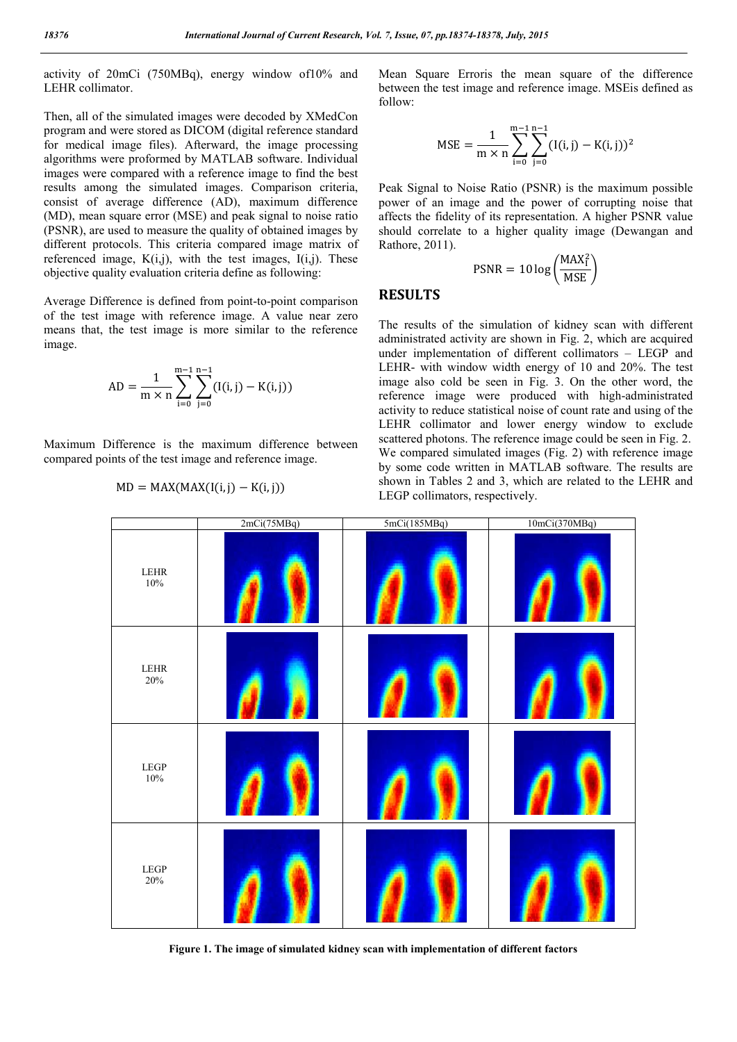activity of 20mCi (750MBq), energy window of10% and LEHR collimator.

Then, all of the simulated images were decoded by XMedCon program and were stored as DICOM (digital reference standard for medical image files). Afterward, the image processing algorithms were proformed by MATLAB software. Individual images were compared with a reference image to find the best results among the simulated images. Comparison criteria, consist of average difference (AD), maximum difference (MD), mean square error (MSE) and peak signal to noise ratio (PSNR), are used to measure the quality of obtained images by different protocols. This criteria compared image matrix of referenced image,  $K(i,j)$ , with the test images,  $I(i,j)$ . These objective quality evaluation criteria define as following:

Average Difference is defined from point-to-point comparison of the test image with reference image. A value near zero means that, the test image is more similar to the reference image.

AD = 
$$
\frac{1}{m \times n} \sum_{i=0}^{m-1} \sum_{j=0}^{n-1} (I(i,j) - K(i,j))
$$

Maximum Difference is the maximum difference between compared points of the test image and reference image.

$$
MD = MAX(MAX(I(i, j) - K(i, j)))
$$

Mean Square Erroris the mean square of the difference between the test image and reference image. MSEis defined as follow:

$$
MSE = \frac{1}{m \times n} \sum_{i=0}^{m-1} \sum_{j=0}^{n-1} (I(i,j) - K(i,j))^2
$$

Peak Signal to Noise Ratio (PSNR) is the maximum possible power of an image and the power of corrupting noise that affects the fidelity of its representation. A higher PSNR value should correlate to a higher quality image (Dewangan and Rathore, 2011).

$$
PSNR = 10 \log \left(\frac{MAX_i^2}{MSE}\right)
$$

## **RESULTS**

The results of the simulation of kidney scan with different administrated activity are shown in Fig. 2, which are acquired under implementation of different collimators – LEGP and LEHR- with window width energy of 10 and 20%. The test image also cold be seen in Fig. 3. On the other word, the reference image were produced with high-administrated activity to reduce statistical noise of count rate and using of the LEHR collimator and lower energy window to exclude scattered photons. The reference image could be seen in Fig. 2. We compared simulated images (Fig. 2) with reference image by some code written in MATLAB software. The results are shown in Tables 2 and 3, which are related to the LEHR and LEGP collimators, respectively.



**Figure 1. The image of simulated kidney scan with implementation of different factors**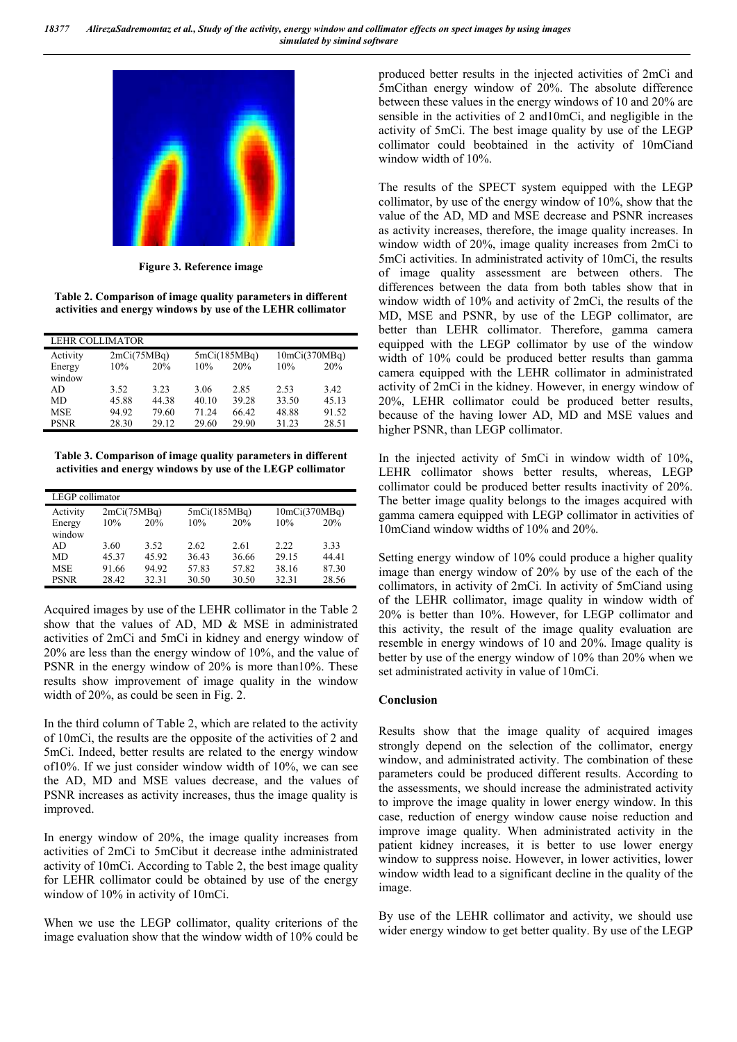

**Figure 3. Reference image**

**Table 2. Comparison of image quality parameters in different activities and energy windows by use of the LEHR collimator**

| <b>LEHR COLLIMATOR</b> |       |             |       |              |       |               |  |
|------------------------|-------|-------------|-------|--------------|-------|---------------|--|
| Activity               |       | 2mCi(75MBq) |       | 5mCi(185MBq) |       | 10mCi(370MBq) |  |
| Energy<br>window       | 10%   | 20%         | 10%   | 20%          | 10%   | 20%           |  |
| AD.                    | 3.52  | 3.23        | 3.06  | 2.85         | 2.53  | 3.42          |  |
| MD                     | 45.88 | 44.38       | 40.10 | 39.28        | 33.50 | 45.13         |  |
| <b>MSE</b>             | 94.92 | 79.60       | 71.24 | 66.42        | 48.88 | 91.52         |  |
| <b>PSNR</b>            | 28.30 | 29.12       | 29.60 | 29.90        | 31.23 | 28.51         |  |

**Table 3. Comparison of image quality parameters in different activities and energy windows by use of the LEGP collimator**

| LEGP collimator |             |       |       |              |       |               |  |
|-----------------|-------------|-------|-------|--------------|-------|---------------|--|
| Activity        | 2mCi(75MBq) |       |       | 5mCi(185MBq) |       | 10mCi(370MBq) |  |
| Energy          | 10%         | 20%   | 10%   | 20%          | 10%   | 20%           |  |
| window          |             |       |       |              |       |               |  |
| AD.             | 3.60        | 3.52  | 2.62  | 2.61         | 2.22  | 3.33          |  |
| MD              | 45.37       | 45.92 | 36.43 | 36.66        | 29.15 | 44.41         |  |
| <b>MSE</b>      | 91.66       | 94.92 | 57.83 | 57.82        | 38.16 | 87.30         |  |
| <b>PSNR</b>     | 28.42       | 32.31 | 30.50 | 30.50        | 32.31 | 28.56         |  |

Acquired images by use of the LEHR collimator in the Table 2 show that the values of AD, MD & MSE in administrated activities of 2mCi and 5mCi in kidney and energy window of 20% are less than the energy window of 10%, and the value of PSNR in the energy window of 20% is more than10%. These results show improvement of image quality in the window width of 20%, as could be seen in Fig. 2.

In the third column of Table 2, which are related to the activity of 10mCi, the results are the opposite of the activities of 2 and 5mCi. Indeed, better results are related to the energy window of10%. If we just consider window width of 10%, we can see the AD, MD and MSE values decrease, and the values of PSNR increases as activity increases, thus the image quality is improved.

In energy window of 20%, the image quality increases from activities of 2mCi to 5mCibut it decrease inthe administrated activity of 10mCi. According to Table 2, the best image quality for LEHR collimator could be obtained by use of the energy window of 10% in activity of 10mCi.

When we use the LEGP collimator, quality criterions of the image evaluation show that the window width of 10% could be produced better results in the injected activities of 2mCi and 5mCithan energy window of 20%. The absolute difference between these values in the energy windows of 10 and 20% are sensible in the activities of 2 and10mCi, and negligible in the activity of 5mCi. The best image quality by use of the LEGP collimator could beobtained in the activity of 10mCiand window width of 10%.

The results of the SPECT system equipped with the LEGP collimator, by use of the energy window of 10%, show that the value of the AD, MD and MSE decrease and PSNR increases as activity increases, therefore, the image quality increases. In window width of 20%, image quality increases from 2mCi to 5mCi activities. In administrated activity of 10mCi, the results of image quality assessment are between others. The differences between the data from both tables show that in window width of 10% and activity of 2mCi, the results of the MD, MSE and PSNR, by use of the LEGP collimator, are better than LEHR collimator. Therefore, gamma camera equipped with the LEGP collimator by use of the window width of 10% could be produced better results than gamma camera equipped with the LEHR collimator in administrated activity of 2mCi in the kidney. However, in energy window of 20%, LEHR collimator could be produced better results, because of the having lower AD, MD and MSE values and higher PSNR, than LEGP collimator.

In the injected activity of 5mCi in window width of 10%, LEHR collimator shows better results, whereas, LEGP collimator could be produced better results inactivity of 20%. The better image quality belongs to the images acquired with gamma camera equipped with LEGP collimator in activities of 10mCiand window widths of 10% and 20%.

Setting energy window of 10% could produce a higher quality image than energy window of 20% by use of the each of the collimators, in activity of 2mCi. In activity of 5mCiand using of the LEHR collimator, image quality in window width of 20% is better than 10%. However, for LEGP collimator and this activity, the result of the image quality evaluation are resemble in energy windows of 10 and 20%. Image quality is better by use of the energy window of 10% than 20% when we set administrated activity in value of 10mCi.

#### **Conclusion**

Results show that the image quality of acquired images strongly depend on the selection of the collimator, energy window, and administrated activity. The combination of these parameters could be produced different results. According to the assessments, we should increase the administrated activity to improve the image quality in lower energy window. In this case, reduction of energy window cause noise reduction and improve image quality. When administrated activity in the patient kidney increases, it is better to use lower energy window to suppress noise. However, in lower activities, lower window width lead to a significant decline in the quality of the image.

By use of the LEHR collimator and activity, we should use wider energy window to get better quality. By use of the LEGP